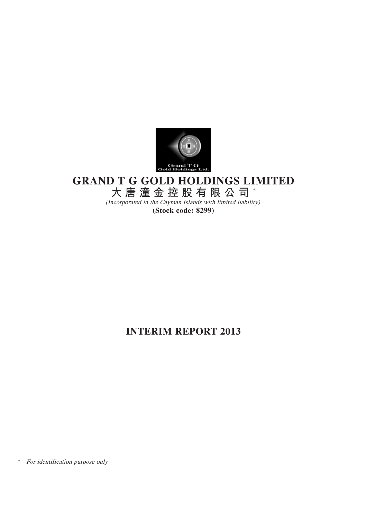

# **GRAND T G GOLD HOLDINGS LIMITED**

**大 唐 潼 金 控 股 有 限 公 司** \*

(Incorporated in the Cayman Islands with limited liability) **(Stock code: 8299)**

## **INTERIM REPORT 2013**

\* For identification purpose only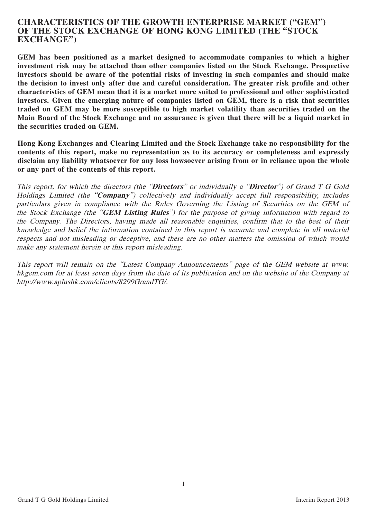## **CHARACTERISTICS OF THE GROWTH ENTERPRISE MARKET ("GEM") OF THE STOCK EXCHANGE OF HONG KONG LIMITED (THE "STOCK EXCHANGE")**

**GEM has been positioned as a market designed to accommodate companies to which a higher investment risk may be attached than other companies listed on the Stock Exchange. Prospective investors should be aware of the potential risks of investing in such companies and should make the decision to invest only after due and careful consideration. The greater risk profile and other characteristics of GEM mean that it is a market more suited to professional and other sophisticated investors. Given the emerging nature of companies listed on GEM, there is a risk that securities traded on GEM may be more susceptible to high market volatility than securities traded on the** Main Board of the Stock Exchange and no assurance is given that there will be a liquid market in **the securities traded on GEM.**

**Hong Kong Exchanges and Clearing Limited and the Stock Exchange take no responsibility for the contents of this report, make no representation as to its accuracy or completeness and expressly disclaim any liability whatsoever for any loss howsoever arising from or in reliance upon the whole or any part of the contents of this report.**

This report, for which the directors (the "**Directors**" or individually <sup>a</sup> "**Director**") of Grand <sup>T</sup> G Gold Holdings Limited (the "**Company**") collectively and individually accept full responsibility, includes particulars given in compliance with the Rules Governing the Listing of Securities on the GEM of the Stock Exchange (the "**GEM Listing Rules**") for the purpose of giving information with regard to the Company. The Directors, having made all reasonable enquiries, confirm that to the best of their knowledge and belief the information contained in this report is accurate and complete in all material respects and not misleading or deceptive, and there are no other matters the omission of which would make any statement herein or this report misleading.

This report will remain on the "Latest Company Announcements" page of the GEM website at www. hkgem.com for at least seven days from the date of its publication and on the website of the Company at http://www.aplushk.com/clients/8299GrandTG/.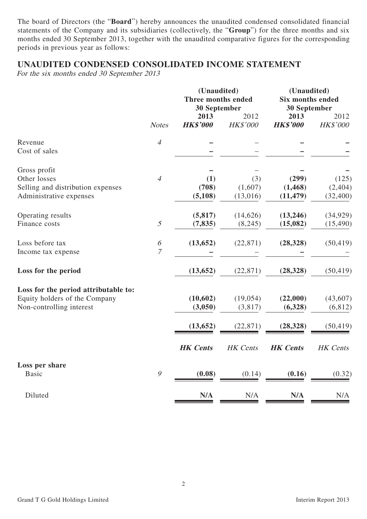The board of Directors (the "**Board**") hereby announces the unaudited condensed consolidated financial statements of the Company and its subsidiaries (collectively, the "**Group**") for the three months and six months ended 30 September 2013, together with the unaudited comparative figures for the corresponding periods in previous year as follows:

## **UNAUDITED CONDENSED CONSOLIDATED INCOME STATEMENT**

For the six months ended 30 September 2013

|                                                                                                   |                                         | (Unaudited)<br>Three months ended<br>30 September |                            |                                | (Unaudited)<br>Six months ended<br>30 September |  |  |
|---------------------------------------------------------------------------------------------------|-----------------------------------------|---------------------------------------------------|----------------------------|--------------------------------|-------------------------------------------------|--|--|
|                                                                                                   | <b>Notes</b>                            | 2013<br><b>HK\$'000</b>                           | 2012<br>HK\$'000           | 2013<br><b>HK\$'000</b>        | 2012<br>HK\$'000                                |  |  |
| Revenue<br>Cost of sales                                                                          | $\overline{4}$                          |                                                   |                            |                                |                                                 |  |  |
| Gross profit<br>Other losses<br>Selling and distribution expenses<br>Administrative expenses      | $\overline{4}$                          | (1)<br>(708)<br>(5,108)                           | (3)<br>(1,607)<br>(13,016) | (299)<br>(1, 468)<br>(11, 479) | (125)<br>(2,404)<br>(32, 400)                   |  |  |
| Operating results<br>Finance costs                                                                | $\mathfrak{I}$                          | (5, 817)<br>(7, 835)                              | (14, 626)<br>(8,245)       | (13,246)<br>(15,082)           | (34, 929)<br>(15, 490)                          |  |  |
| Loss before tax<br>Income tax expense                                                             | $\boldsymbol{\delta}$<br>$\overline{7}$ | (13, 652)                                         | (22, 871)                  | (28, 328)                      | (50, 419)                                       |  |  |
| Loss for the period                                                                               |                                         | (13, 652)                                         | (22, 871)                  | (28, 328)                      | (50, 419)                                       |  |  |
| Loss for the period attributable to:<br>Equity holders of the Company<br>Non-controlling interest |                                         | (10, 602)<br>(3,050)                              | (19, 054)<br>(3,817)       | (22,000)<br>(6,328)            | (43,607)<br>(6, 812)                            |  |  |
|                                                                                                   |                                         | (13, 652)                                         | (22, 871)                  | (28, 328)                      | (50, 419)                                       |  |  |
|                                                                                                   |                                         | <b>HK</b> Cents                                   | HK Cents                   | <b>HK</b> Cents                | HK Cents                                        |  |  |
| Loss per share<br><b>Basic</b>                                                                    | $\mathcal{G}$                           | (0.08)                                            | (0.14)                     | (0.16)                         | (0.32)                                          |  |  |
| Diluted                                                                                           |                                         | N/A                                               | N/A                        | N/A                            | N/A                                             |  |  |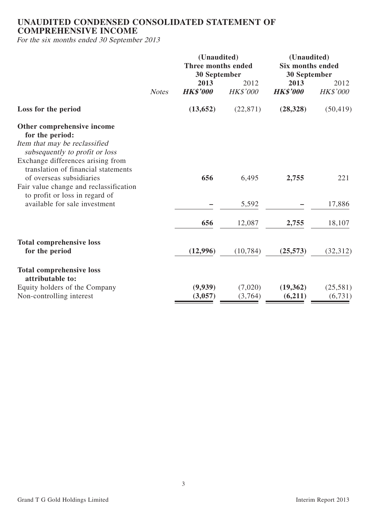## **UNAUDITED CONDENSED CONSOLIDATED STATEMENT OF COMPREHENSIVE INCOME**

For the six months ended 30 September 2013

|                                                                          |              | (Unaudited)          |           | (Unaudited)                             |           |  |
|--------------------------------------------------------------------------|--------------|----------------------|-----------|-----------------------------------------|-----------|--|
|                                                                          |              | Three months ended   |           | <b>Six months ended</b><br>30 September |           |  |
|                                                                          |              | 30 September<br>2013 | 2012      | 2013                                    | 2012      |  |
|                                                                          | <b>Notes</b> | <b>HK\$'000</b>      | HK\$'000  | <b>HK\$'000</b>                         | HK\$'000  |  |
| Loss for the period                                                      |              | (13, 652)            | (22, 871) | (28, 328)                               | (50, 419) |  |
| Other comprehensive income<br>for the period:                            |              |                      |           |                                         |           |  |
| Item that may be reclassified<br>subsequently to profit or loss          |              |                      |           |                                         |           |  |
| Exchange differences arising from<br>translation of financial statements |              |                      |           |                                         |           |  |
| of overseas subsidiaries<br>Fair value change and reclassification       |              | 656                  | 6,495     | 2,755                                   | 221       |  |
| to profit or loss in regard of<br>available for sale investment          |              |                      | 5,592     |                                         | 17,886    |  |
|                                                                          |              | 656                  | 12,087    | 2,755                                   | 18,107    |  |
| <b>Total comprehensive loss</b>                                          |              |                      |           |                                         |           |  |
| for the period                                                           |              | (12,996)             | (10, 784) | (25, 573)                               | (32, 312) |  |
| <b>Total comprehensive loss</b><br>attributable to:                      |              |                      |           |                                         |           |  |
| Equity holders of the Company                                            |              | (9,939)              | (7,020)   | (19, 362)                               | (25,581)  |  |
| Non-controlling interest                                                 |              | (3,057)              | (3,764)   | (6,211)                                 | (6,731)   |  |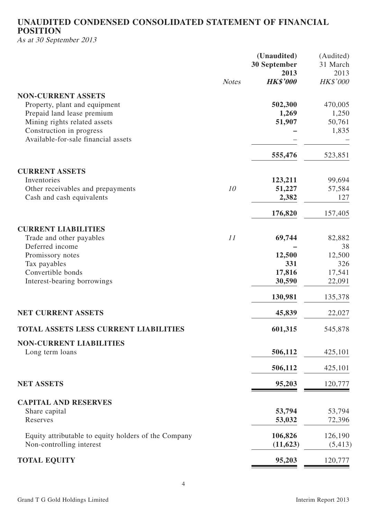## **UNAUDITED CONDENSED CONSOLIDATED STATEMENT OF FINANCIAL POSITION**

As at 30 September 2013

|                                                      |              | (Unaudited)         | (Audited)       |
|------------------------------------------------------|--------------|---------------------|-----------------|
|                                                      |              | <b>30 September</b> | 31 March        |
|                                                      |              | 2013                | 2013            |
|                                                      | <b>Notes</b> | <b>HK\$'000</b>     | <b>HK\$'000</b> |
| <b>NON-CURRENT ASSETS</b>                            |              |                     |                 |
| Property, plant and equipment                        |              | 502,300             | 470,005         |
| Prepaid land lease premium                           |              | 1,269               | 1,250           |
| Mining rights related assets                         |              | 51,907              | 50,761          |
| Construction in progress                             |              |                     | 1,835           |
| Available-for-sale financial assets                  |              |                     |                 |
|                                                      |              |                     |                 |
|                                                      |              | 555,476             | 523,851         |
| <b>CURRENT ASSETS</b>                                |              |                     |                 |
| Inventories                                          |              | 123,211             | 99,694          |
| Other receivables and prepayments                    | 10           | 51,227              | 57,584          |
| Cash and cash equivalents                            |              | 2,382               | 127             |
|                                                      |              |                     |                 |
|                                                      |              | 176,820             | 157,405         |
| <b>CURRENT LIABILITIES</b>                           |              |                     |                 |
| Trade and other payables                             | 11           | 69,744              | 82,882          |
| Deferred income                                      |              |                     | 38              |
| Promissory notes                                     |              | 12,500              | 12,500          |
| Tax payables                                         |              | 331                 | 326             |
| Convertible bonds                                    |              | 17,816              | 17,541          |
| Interest-bearing borrowings                          |              | 30,590              | 22,091          |
|                                                      |              |                     |                 |
|                                                      |              | 130,981             | 135,378         |
| <b>NET CURRENT ASSETS</b>                            |              | 45,839              | 22,027          |
| TOTAL ASSETS LESS CURRENT LIABILITIES                |              | 601,315             | 545,878         |
| <b>NON-CURRENT LIABILITIES</b>                       |              |                     |                 |
| Long term loans                                      |              | 506,112             | 425,101         |
|                                                      |              |                     |                 |
|                                                      |              | 506,112             | 425,101         |
| <b>NET ASSETS</b>                                    |              | 95,203              | 120,777         |
| <b>CAPITAL AND RESERVES</b>                          |              |                     |                 |
| Share capital                                        |              | 53,794              | 53,794          |
| Reserves                                             |              | 53,032              | 72,396          |
|                                                      |              |                     |                 |
| Equity attributable to equity holders of the Company |              | 106,826             | 126,190         |
| Non-controlling interest                             |              | (11, 623)           | (5, 413)        |
| <b>TOTAL EQUITY</b>                                  |              | 95,203              | 120,777         |
|                                                      |              |                     |                 |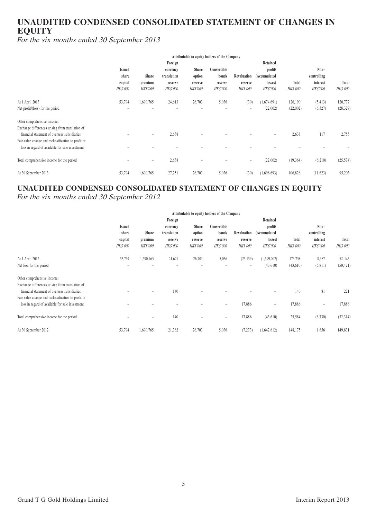## **UNAUDITED CONDENSED CONSOLIDATED STATEMENT OF CHANGES IN EQUITY**

For the six months ended 30 September 2013

|                                                     | Attributable to equity holders of the Company |                          |                 |                          |                 |                   |                 |                 |                 |                 |
|-----------------------------------------------------|-----------------------------------------------|--------------------------|-----------------|--------------------------|-----------------|-------------------|-----------------|-----------------|-----------------|-----------------|
|                                                     |                                               |                          | Foreign         |                          | Retained        |                   |                 |                 |                 |                 |
|                                                     | <b>Issued</b>                                 |                          | currency        | <b>Share</b>             | Convertible     |                   | profit/         |                 | Non-            |                 |
|                                                     | share                                         | <b>Share</b>             | translation     | option                   | bonds           | Revaluation       | (Accumulated    |                 | controlling     |                 |
|                                                     | capital                                       | premium                  | reserve         | reserve                  | reserve         | reserve           | losses)         | <b>Total</b>    | interest        | Total           |
|                                                     | <b>HK\$'000</b>                               | <b>HK\$'000</b>          | <b>HK\$'000</b> | <b>HK\$'000</b>          | <b>HK\$'000</b> | <b>HK\$'000</b>   | <b>HK\$'000</b> | <b>HK\$'000</b> | <b>HK\$'000</b> | <b>HK\$'000</b> |
| At 1 April 2013                                     | 53,794                                        | 1,690,765                | 24,613          | 26,703                   | 5,036           | (30)              | (1,674,691)     | 126,190         | (5, 413)        | 120,777         |
| Net profit/(loss) for the period                    |                                               |                          |                 |                          |                 | $\equiv$          | (22,002)        | (22,002)        | (6,327)         | (28, 329)       |
| Other comprehensive income:                         |                                               |                          |                 |                          |                 |                   |                 |                 |                 |                 |
| Exchange differences arising from translation of    |                                               |                          |                 |                          |                 |                   |                 |                 |                 |                 |
| financial statement of overseas subsidiaries        |                                               | $\overline{\phantom{0}}$ | 2,638           |                          |                 |                   | $\equiv$        | 2,638           | 117             | 2,755           |
| Fair value change and reclassification to profit or |                                               |                          |                 |                          |                 |                   |                 |                 |                 |                 |
| loss in regard of available for sale investment     |                                               |                          |                 |                          |                 |                   |                 |                 |                 |                 |
| Total comprehensive income for the period           |                                               | $\qquad \qquad =$        | 2,638           | $\overline{\phantom{0}}$ |                 | $\qquad \qquad =$ | (22,002)        | (19,364)        | (6,210)         | (25, 574)       |
| At 30 September 2013                                | 53,794                                        | 1,690,765                | 27,251          | 26,703                   | 5,036           | (30)              | (1,696,693)     | 106,826         | (11,623)        | 95,203          |

### **UNAUDITED CONDENSED CONSOLIDATED STATEMENT OF CHANGES IN EQUITY** For the six months ended 30 September 2012

|                                                     | Attributable to equity holders of the Company |                 |                 |                 |                          |                   |                          |                 |                          |                 |
|-----------------------------------------------------|-----------------------------------------------|-----------------|-----------------|-----------------|--------------------------|-------------------|--------------------------|-----------------|--------------------------|-----------------|
|                                                     |                                               |                 | Foreign         |                 |                          |                   | Retained                 |                 |                          |                 |
|                                                     | <b>Issued</b>                                 |                 | currency        | <b>Share</b>    | Convertible              |                   | profit/                  |                 | Non-                     |                 |
|                                                     | share                                         | <b>Share</b>    | translation     | option          | bonds                    |                   | Revaluation (Accumulated |                 | controlling              |                 |
|                                                     | capital                                       | premium         | reserve         | reserve         | reserve                  | reserve           | losses)                  | <b>Total</b>    | interest                 | Total           |
|                                                     | <b>HK\$'000</b>                               | <b>HK\$'000</b> | <b>HK\$'000</b> | <b>HK\$'000</b> | <b>HK\$'000</b>          | <b>HK\$'000</b>   | <b>HK\$'000</b>          | <b>HK\$'000</b> | HK\$'000                 | <b>HK\$'000</b> |
| At 1 April 2012                                     | 53,794                                        | 1,690,765       | 21,621          | 26,703          | 5,036                    | (25, 159)         | (1,599,002)              | 173,758         | 8,387                    | 182,145         |
| Net loss for the period                             | -                                             | -               |                 | ÷               |                          | $\qquad \qquad =$ | (43,610)                 | (43,610)        | (6, 811)                 | (50, 421)       |
| Other comprehensive income:                         |                                               |                 |                 |                 |                          |                   |                          |                 |                          |                 |
| Exchange differences arising from translation of    |                                               |                 |                 |                 |                          |                   |                          |                 |                          |                 |
| financial statement of overseas subsidiaries        |                                               | -               | 140             |                 |                          |                   |                          | 140             | 81                       | 221             |
| Fair value change and reclassification to profit or |                                               |                 |                 |                 |                          |                   |                          |                 |                          |                 |
| loss in regard of available for sale investment     |                                               |                 |                 |                 | $\overline{\phantom{a}}$ | 17,886            | $\overline{\phantom{a}}$ | 17,886          | $\overline{\phantom{a}}$ | 17,886          |
| Total comprehensive income for the period           |                                               | -               | 140             |                 | $\overline{\phantom{a}}$ | 17,886            | (43,610)                 | 25,584          | (6,730)                  | (32, 314)       |
|                                                     |                                               |                 |                 |                 |                          |                   |                          |                 |                          |                 |
| At 30 September 2012                                | 53,794                                        | 1,690,765       | 21,762          | 26,703          | 5,036                    | (7,273)           | (1,642,612)              | 148,175         | 1,656                    | 149,831         |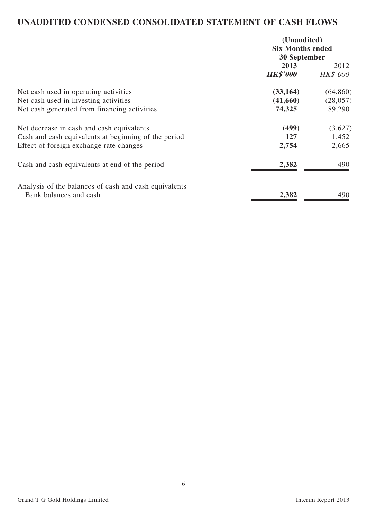## **UNAUDITED CONDENSED CONSOLIDATED STATEMENT OF CASH FLOWS**

|                                                       | (Unaudited)<br><b>Six Months ended</b><br>30 September |                         |  |
|-------------------------------------------------------|--------------------------------------------------------|-------------------------|--|
|                                                       | 2013<br><b>HK\$'000</b>                                | 2012<br><b>HK\$'000</b> |  |
| Net cash used in operating activities                 | (33, 164)                                              | (64, 860)               |  |
| Net cash used in investing activities                 | (41,660)                                               | (28,057)                |  |
| Net cash generated from financing activities          | 74,325                                                 | 89,290                  |  |
| Net decrease in cash and cash equivalents             | (499)                                                  | (3,627)                 |  |
| Cash and cash equivalents at beginning of the period  | 127                                                    | 1,452                   |  |
| Effect of foreign exchange rate changes               | 2,754                                                  | 2,665                   |  |
| Cash and cash equivalents at end of the period        | 2,382                                                  | 490                     |  |
| Analysis of the balances of cash and cash equivalents |                                                        |                         |  |
| Bank balances and cash                                | 2,382                                                  | 490                     |  |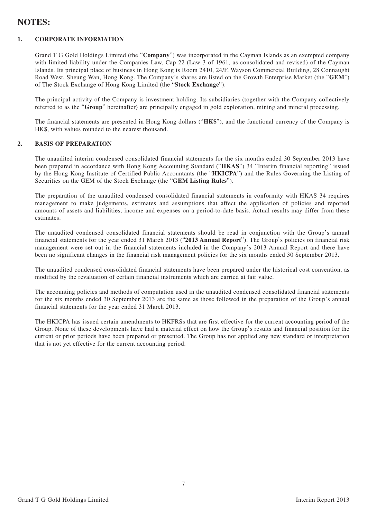## **NOTES:**

#### **1. CORPORATE INFORMATION**

Grand T G Gold Holdings Limited (the "**Company**") was incorporated in the Cayman Islands as an exempted company with limited liability under the Companies Law, Cap 22 (Law 3 of 1961, as consolidated and revised) of the Cayman Islands. Its principal place of business in Hong Kong is Room 2410, 24/F, Wayson Commercial Building, 28 Connaught Road West, Sheung Wan, Hong Kong. The Company's shares are listed on the Growth Enterprise Market (the "**GEM**") of The Stock Exchange of Hong Kong Limited (the "**Stock Exchange**").

The principal activity of the Company is investment holding. Its subsidiaries (together with the Company collectively referred to as the "**Group**" hereinafter) are principally engaged in gold exploration, mining and mineral processing.

The financial statements are presented in Hong Kong dollars ("**HK\$**"), and the functional currency of the Company is HK\$, with values rounded to the nearest thousand.

#### **2. BASIS OF PREPARATION**

The unaudited interim condensed consolidated financial statements for the six months ended 30 September 2013 have been prepared in accordance with Hong Kong Accounting Standard ("**HKAS**") 34 "Interim financial reporting" issued by the Hong Kong Institute of Certified Public Accountants (the "**HKICPA**") and the Rules Governing the Listing of Securities on the GEM of the Stock Exchange (the "**GEM Listing Rules**").

The preparation of the unaudited condensed consolidated financial statements in conformity with HKAS 34 requires management to make judgements, estimates and assumptions that affect the application of policies and reported amounts of assets and liabilities, income and expenses on a period-to-date basis. Actual results may differ from these estimates.

The unaudited condensed consolidated financial statements should be read in conjunction with the Group's annual financial statements for the year ended 31 March 2013 ("**2013 Annual Report**"). The Group's policies on financial risk management were set out in the financial statements included in the Company's 2013 Annual Report and there have been no significant changes in the financial risk management policies for the six months ended 30 September 2013.

The unaudited condensed consolidated financial statements have been prepared under the historical cost convention, as modified by the revaluation of certain financial instruments which are carried at fair value.

The accounting policies and methods of computation used in the unaudited condensed consolidated financial statements for the six months ended 30 September 2013 are the same as those followed in the preparation of the Group's annual financial statements for the year ended 31 March 2013.

The HKICPA has issued certain amendments to HKFRSs that are first effective for the current accounting period of the Group. None of these developments have had a material effect on how the Group's results and financial position for the current or prior periods have been prepared or presented. The Group has not applied any new standard or interpretation that is not yet effective for the current accounting period.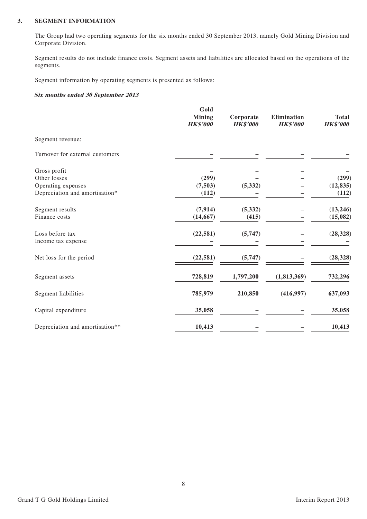#### **3. SEGMENT INFORMATION**

The Group had two operating segments for the six months ended 30 September 2013, namely Gold Mining Division and Corporate Division.

Segment results do not include finance costs. Segment assets and liabilities are allocated based on the operations of the segments.

Segment information by operating segments is presented as follows:

#### **Six months ended 30 September 2013**

|                                 | Gold<br><b>Mining</b><br><b>HK\$'000</b> | Corporate<br><b>HK\$'000</b> | Elimination<br><b>HK\$'000</b> | <b>Total</b><br><b>HK\$'000</b> |
|---------------------------------|------------------------------------------|------------------------------|--------------------------------|---------------------------------|
| Segment revenue:                |                                          |                              |                                |                                 |
| Turnover for external customers |                                          |                              |                                |                                 |
| Gross profit                    |                                          |                              |                                |                                 |
| Other losses                    | (299)                                    |                              |                                | (299)                           |
| Operating expenses              | (7,503)                                  | (5, 332)                     |                                | (12, 835)                       |
| Depreciation and amortisation*  | (112)                                    |                              |                                | (112)                           |
| Segment results                 | (7, 914)                                 | (5, 332)                     |                                | (13,246)                        |
| Finance costs                   | (14, 667)                                | (415)                        |                                | (15, 082)                       |
| Loss before tax                 | (22, 581)                                | (5,747)                      |                                | (28, 328)                       |
| Income tax expense              |                                          |                              |                                |                                 |
| Net loss for the period         | (22, 581)                                | (5,747)                      |                                | (28, 328)                       |
| Segment assets                  | 728,819                                  | 1,797,200                    | (1,813,369)                    | 732,296                         |
| Segment liabilities             | 785,979                                  | 210,850                      | (416,997)                      | 637,093                         |
| Capital expenditure             | 35,058                                   |                              |                                | 35,058                          |
| Depreciation and amortisation** | 10,413                                   |                              |                                | 10,413                          |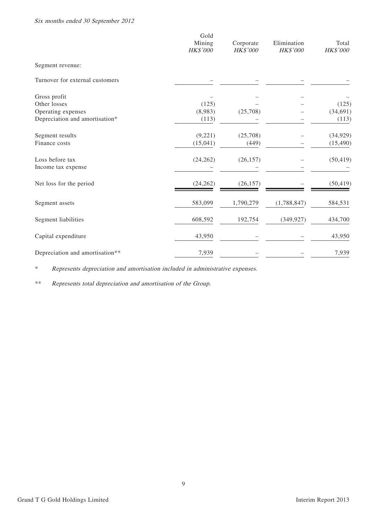|                                 | Gold<br>Mining<br>HK\$'000 | Corporate<br>HK\$'000 | Elimination<br>HK\$'000 | Total<br>HK\$'000 |
|---------------------------------|----------------------------|-----------------------|-------------------------|-------------------|
| Segment revenue:                |                            |                       |                         |                   |
| Turnover for external customers |                            |                       |                         |                   |
| Gross profit                    |                            |                       |                         |                   |
| Other losses                    | (125)                      |                       |                         | (125)             |
| Operating expenses              | (8,983)                    | (25,708)              |                         | (34,691)          |
| Depreciation and amortisation*  | (113)                      |                       |                         | (113)             |
| Segment results                 | (9,221)                    | (25,708)              |                         | (34, 929)         |
| Finance costs                   | (15,041)                   | (449)                 |                         | (15, 490)         |
| Loss before tax                 | (24, 262)                  | (26, 157)             |                         | (50, 419)         |
| Income tax expense              |                            |                       |                         |                   |
| Net loss for the period         | (24, 262)                  | (26, 157)             |                         | (50, 419)         |
| Segment assets                  | 583,099                    | 1,790,279             | (1,788,847)             | 584,531           |
| Segment liabilities             | 608,592                    | 192,754               | (349, 927)              | 434,700           |
| Capital expenditure             | 43,950                     |                       |                         | 43,950            |
| Depreciation and amortisation** | 7,939                      |                       |                         | 7,939             |
|                                 |                            |                       |                         |                   |

\* Represents depreciation and amortisation included in administrative expenses.

\*\* Represents total depreciation and amortisation of the Group.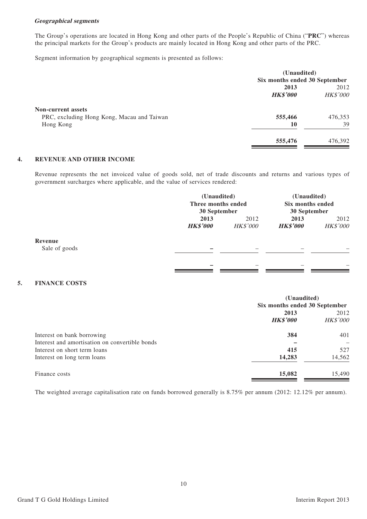#### **Geographical segments**

The Group's operations are located in Hong Kong and other parts of the People's Republic of China ("**PRC**") whereas the principal markets for the Group's products are mainly located in Hong Kong and other parts of the PRC.

Segment information by geographical segments is presented as follows:

|                                            | (Unaudited)                   |          |  |
|--------------------------------------------|-------------------------------|----------|--|
|                                            | Six months ended 30 September |          |  |
|                                            | 2013                          |          |  |
|                                            | <b>HK\$'000</b>               | HK\$'000 |  |
| <b>Non-current assets</b>                  |                               |          |  |
| PRC, excluding Hong Kong, Macau and Taiwan | 555,466                       | 476,353  |  |
| Hong Kong                                  | 10                            | 39       |  |
|                                            | 555,476                       | 476,392  |  |
|                                            |                               |          |  |

#### **4. REVENUE AND OTHER INCOME**

Revenue represents the net invoiced value of goods sold, net of trade discounts and returns and various types of government surcharges where applicable, and the value of services rendered:

|               | (Unaudited)<br>Three months ended<br>30 September |                 | (Unaudited)<br>Six months ended<br>30 September |          |
|---------------|---------------------------------------------------|-----------------|-------------------------------------------------|----------|
|               | 2013                                              | 2012            | 2013                                            | 2012     |
|               | <b>HK\$'000</b>                                   | <b>HK\$'000</b> | <b>HK\$'000</b>                                 | HK\$'000 |
| Revenue       |                                                   |                 |                                                 |          |
| Sale of goods |                                                   |                 |                                                 |          |
|               |                                                   |                 |                                                 |          |
|               | —                                                 | -               | -                                               | -        |

#### **5. FINANCE COSTS**

|                                                | (Unaudited)                   |                  |  |
|------------------------------------------------|-------------------------------|------------------|--|
|                                                | Six months ended 30 September |                  |  |
|                                                | 2013<br><b>HK\$'000</b>       | 2012<br>HK\$'000 |  |
| Interest on bank borrowing                     | 384                           | 401              |  |
| Interest and amortisation on convertible bonds |                               | -                |  |
| Interest on short term loans                   | 415                           | 527              |  |
| Interest on long term loans                    | 14,283                        | 14,562           |  |
| Finance costs                                  | 15,082                        | 15,490           |  |

The weighted average capitalisation rate on funds borrowed generally is 8.75% per annum (2012: 12.12% per annum).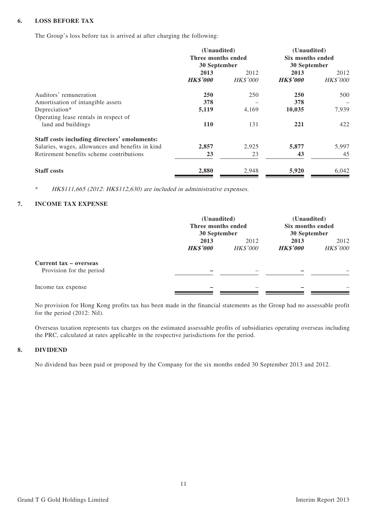#### **6. LOSS BEFORE TAX**

The Group's loss before tax is arrived at after charging the following:

|                                                  | (Unaudited)<br>Three months ended<br>30 September |                 | (Unaudited)<br>Six months ended<br>30 September |          |  |
|--------------------------------------------------|---------------------------------------------------|-----------------|-------------------------------------------------|----------|--|
|                                                  | 2013                                              | 2012            | 2013                                            | 2012     |  |
|                                                  | <b>HK\$'000</b>                                   | <b>HK\$'000</b> | <b>HK\$'000</b>                                 | HK\$'000 |  |
| Auditors' remuneration                           | <b>250</b>                                        | 250             | <b>250</b>                                      | 500      |  |
| Amortisation of intangible assets                | 378                                               |                 | 378                                             |          |  |
| Depreciation*                                    | 5,119                                             | 4,169           | 10,035                                          | 7,939    |  |
| Operating lease rentals in respect of            |                                                   |                 |                                                 |          |  |
| land and buildings                               | <b>110</b>                                        | 131             | 221                                             | 422      |  |
| Staff costs including directors' emoluments:     |                                                   |                 |                                                 |          |  |
| Salaries, wages, allowances and benefits in kind | 2,857                                             | 2,925           | 5,877                                           | 5.997    |  |
| Retirement benefits scheme contributions         | 23                                                | 23              | 43                                              | 45       |  |
| <b>Staff costs</b>                               | 2,880                                             | 2,948           | 5,920                                           | 6,042    |  |

\* HK\$111,665 (2012: HK\$112,630) are included in administrative expenses.

#### **7. INCOME TAX EXPENSE**

|                          |                 | (Unaudited)<br>Three months ended<br>30 September |                 | (Unaudited)<br>Six months ended<br>30 September |  |
|--------------------------|-----------------|---------------------------------------------------|-----------------|-------------------------------------------------|--|
|                          |                 |                                                   |                 |                                                 |  |
|                          | 2013            | 2012                                              | 2013            | 2012                                            |  |
|                          | <b>HK\$'000</b> | <b>HK\$'000</b>                                   | <b>HK\$'000</b> | <b>HK\$'000</b>                                 |  |
| Current tax - overseas   |                 |                                                   |                 |                                                 |  |
| Provision for the period |                 |                                                   |                 |                                                 |  |
| Income tax expense       |                 |                                                   |                 |                                                 |  |

No provision for Hong Kong profits tax has been made in the financial statements as the Group had no assessable profit for the period (2012: Nil).

Overseas taxation represents tax charges on the estimated assessable profits of subsidiaries operating overseas including the PRC, calculated at rates applicable in the respective jurisdictions for the period.

#### **8. DIVIDEND**

No dividend has been paid or proposed by the Company for the six months ended 30 September 2013 and 2012.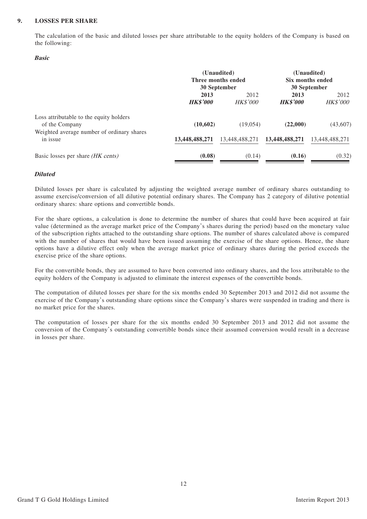#### **9. LOSSES PER SHARE**

The calculation of the basic and diluted losses per share attributable to the equity holders of the Company is based on the following:

#### **Basic**

|                                                                                                         | (Unaudited)<br>Three months ended<br>30 September |                         | (Unaudited)<br>Six months ended<br>30 September |                         |
|---------------------------------------------------------------------------------------------------------|---------------------------------------------------|-------------------------|-------------------------------------------------|-------------------------|
|                                                                                                         | 2013<br><b>HK\$'000</b>                           | 2012<br><b>HK\$'000</b> | 2013<br><b>HK\$'000</b>                         | 2012<br><b>HK\$'000</b> |
| Loss attributable to the equity holders<br>of the Company<br>Weighted average number of ordinary shares | (10,602)                                          | (19, 054)               | (22,000)                                        | (43,607)                |
| in issue                                                                                                | 13,448,488,271                                    | 13,448,488,271          | 13,448,488,271                                  | 13.448.488.271          |
| Basic losses per share (HK cents)                                                                       | (0.08)                                            | (0.14)                  | (0.16)                                          | (0.32)                  |

#### **Diluted**

Diluted losses per share is calculated by adjusting the weighted average number of ordinary shares outstanding to assume exercise/conversion of all dilutive potential ordinary shares. The Company has 2 category of dilutive potential ordinary shares: share options and convertible bonds.

For the share options, a calculation is done to determine the number of shares that could have been acquired at fair value (determined as the average market price of the Company's shares during the period) based on the monetary value of the subscription rights attached to the outstanding share options. The number of shares calculated above is compared with the number of shares that would have been issued assuming the exercise of the share options. Hence, the share options have a dilutive effect only when the average market price of ordinary shares during the period exceeds the exercise price of the share options.

For the convertible bonds, they are assumed to have been converted into ordinary shares, and the loss attributable to the equity holders of the Company is adjusted to eliminate the interest expenses of the convertible bonds.

The computation of diluted losses per share for the six months ended 30 September 2013 and 2012 did not assume the exercise of the Company's outstanding share options since the Company's shares were suspended in trading and there is no market price for the shares.

The computation of losses per share for the six months ended 30 September 2013 and 2012 did not assume the conversion of the Company's outstanding convertible bonds since their assumed conversion would result in a decrease in losses per share.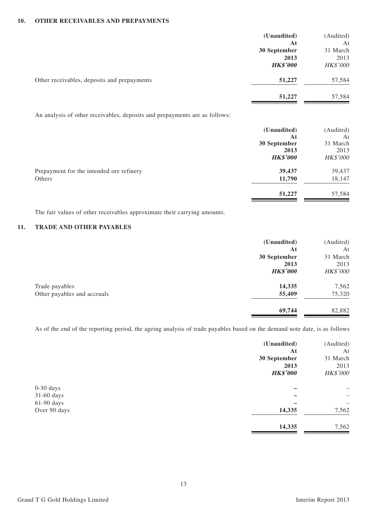#### **10. OTHER RECEIVABLES AND PREPAYMENTS**

|                                             | (Unaudited)<br>At       | (Audited)<br>At  |
|---------------------------------------------|-------------------------|------------------|
|                                             | 30 September            | 31 March         |
|                                             | 2013<br><b>HK\$'000</b> | 2013<br>HK\$'000 |
|                                             |                         |                  |
| Other receivables, deposits and prepayments | 51,227                  | 57,584           |
|                                             | 51,227                  | 57,584           |

An analysis of other receivables, deposits and prepayments are as follows:

|                                          | (Unaudited)     | (Audited)       |
|------------------------------------------|-----------------|-----------------|
|                                          | At              | At              |
|                                          | 30 September    | 31 March        |
|                                          | 2013            | 2013            |
|                                          | <b>HK\$'000</b> | <b>HK\$'000</b> |
| Prepayment for the intended ore refinery | 39,437          | 39,437          |
| Others                                   | 11,790          | 18,147          |
|                                          | 51,227          | 57,584          |

The fair values of other receivables approximate their carrying amounts.

#### **11. TRADE AND OTHER PAYABLES**

|                             | (Unaudited)     | (Audited)       |
|-----------------------------|-----------------|-----------------|
|                             | At              | At              |
|                             | 30 September    | 31 March        |
|                             | 2013            | 2013            |
|                             | <b>HK\$'000</b> | <b>HK\$'000</b> |
| Trade payables              | 14,335          | 7,562           |
| Other payables and accruals | 55,409          | 75,320          |
|                             | 69,744          | 82,882          |

As of the end of the reporting period, the ageing analysis of trade payables based on the demand note date, is as follows

|              | (Unaudited)     | (Audited)                |
|--------------|-----------------|--------------------------|
|              | At              | At                       |
|              | 30 September    | 31 March                 |
|              | 2013            | 2013                     |
|              | <b>HK\$'000</b> | HK\$'000                 |
| $0-30$ days  |                 | -                        |
| $31-60$ days |                 | $\overline{\phantom{0}}$ |
| $61-90$ days |                 | -                        |
| Over 90 days | 14,335          | 7,562                    |
|              | 14,335          | 7,562                    |
|              |                 |                          |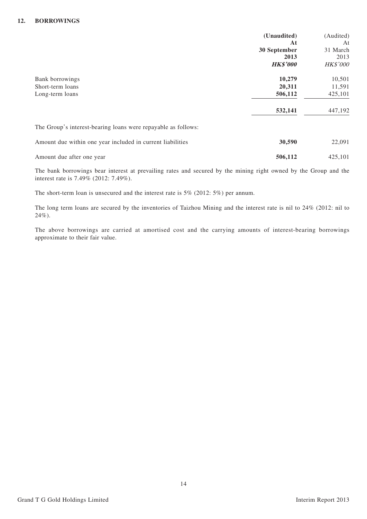|                                                               | (Unaudited)<br>At | (Audited)<br>At |
|---------------------------------------------------------------|-------------------|-----------------|
|                                                               | 30 September      | 31 March        |
|                                                               | 2013              | 2013            |
|                                                               | <b>HK\$'000</b>   | <b>HK\$'000</b> |
| Bank borrowings                                               | 10,279            | 10,501          |
| Short-term loans                                              | 20,311            | 11,591          |
| Long-term loans                                               | 506,112           | 425,101         |
|                                                               | 532,141           | 447,192         |
| The Group's interest-bearing loans were repayable as follows: |                   |                 |
| Amount due within one year included in current liabilities    | 30,590            | 22,091          |
| Amount due after one year                                     | 506,112           | 425,101         |

The bank borrowings bear interest at prevailing rates and secured by the mining right owned by the Group and the interest rate is 7.49% (2012: 7.49%).

The short-term loan is unsecured and the interest rate is 5% (2012: 5%) per annum.

The long term loans are secured by the inventories of Taizhou Mining and the interest rate is nil to 24% (2012: nil to 24%).

The above borrowings are carried at amortised cost and the carrying amounts of interest-bearing borrowings approximate to their fair value.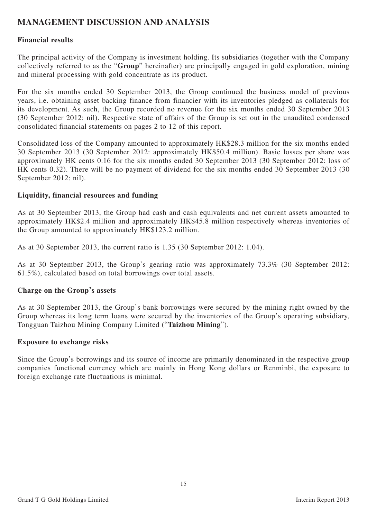## **MANAGEMENT DISCUSSION AND ANALYSIS**

### **Financial results**

The principal activity of the Company is investment holding. Its subsidiaries (together with the Company collectively referred to as the "**Group**" hereinafter) are principally engaged in gold exploration, mining and mineral processing with gold concentrate as its product.

For the six months ended 30 September 2013, the Group continued the business model of previous years, i.e. obtaining asset backing finance from financier with its inventories pledged as collaterals for its development. As such, the Group recorded no revenue for the six months ended 30 September 2013 (30 September 2012: nil). Respective state of affairs of the Group is set out in the unaudited condensed consolidated financial statements on pages 2 to 12 of this report.

Consolidated loss of the Company amounted to approximately HK\$28.3 million for the six months ended 30 September 2013 (30 September 2012: approximately HK\$50.4 million). Basic losses per share was approximately HK cents 0.16 for the six months ended 30 September 2013 (30 September 2012: loss of HK cents 0.32). There will be no payment of dividend for the six months ended 30 September 2013 (30 September 2012: nil).

### **Liquidity, financial resources and funding**

As at 30 September 2013, the Group had cash and cash equivalents and net current assets amounted to approximately HK\$2.4 million and approximately HK\$45.8 million respectively whereas inventories of the Group amounted to approximately HK\$123.2 million.

As at 30 September 2013, the current ratio is 1.35 (30 September 2012: 1.04).

As at 30 September 2013, the Group's gearing ratio was approximately 73.3% (30 September 2012: 61.5%), calculated based on total borrowings over total assets.

### **Charge on the Group's assets**

As at 30 September 2013, the Group's bank borrowings were secured by the mining right owned by the Group whereas its long term loans were secured by the inventories of the Group's operating subsidiary, Tongguan Taizhou Mining Company Limited ("**Taizhou Mining**").

#### **Exposure to exchange risks**

Since the Group's borrowings and its source of income are primarily denominated in the respective group companies functional currency which are mainly in Hong Kong dollars or Renminbi, the exposure to foreign exchange rate fluctuations is minimal.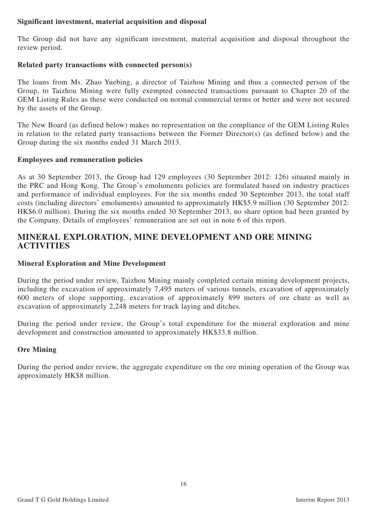### **Significant investment, material acquisition and disposal**

The Group did not have any significant investment, material acquisition and disposal throughout the review period.

### **Related party transactions with connected person(s)**

The loans from Ms. Zhao Yuebing, a director of Taizhou Mining and thus a connected person of the Group, to Taizhou Mining were fully exempted connected transactions pursuant to Chapter 20 of the GEM Listing Rules as these were conducted on normal commercial terms or better and were not secured by the assets of the Group.

The New Board (as defined below) makes no representation on the compliance of the GEM Listing Rules in relation to the related party transactions between the Former Director(s) (as defined below) and the Group during the six months ended 31 March 2013.

### **Employees and remuneration policies**

As at 30 September 2013, the Group had 129 employees (30 September 2012: 126) situated mainly in the PRC and Hong Kong. The Group's emoluments policies are formulated based on industry practices and performance of individual employees. For the six months ended 30 September 2013, the total staff costs (including directors' emoluments) amounted to approximately HK\$5.9 million (30 September 2012: HK\$6.0 million). During the six months ended 30 September 2013, no share option had been granted by the Company. Details of employees' remuneration are set out in note 6 of this report.

## **MINERAL EXPLORATION, MINE DEVELOPMENT AND ORE MINING ACTIVITIES**

### **Mineral Exploration and Mine Development**

During the period under review, Taizhou Mining mainly completed certain mining development projects, including the excavation of approximately 7,495 meters of various tunnels, excavation of approximately 600 meters of slope supporting, excavation of approximately 899 meters of ore chute as well as excavation of approximately 2,248 meters for track laying and ditches.

During the period under review, the Group's total expenditure for the mineral exploration and mine development and construction amounted to approximately HK\$33.8 million.

## **Ore Mining**

During the period under review, the aggregate expenditure on the ore mining operation of the Group was approximately HK\$8 million.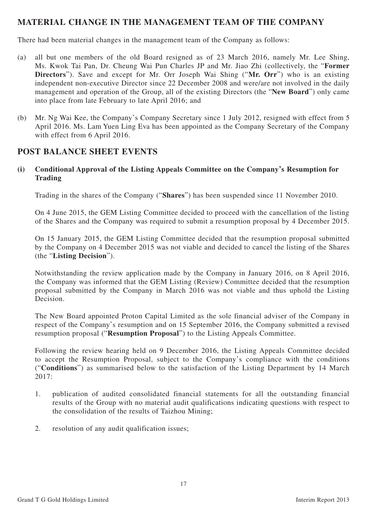## **MATERIAL CHANGE IN THE MANAGEMENT TEAM OF THE COMPANY**

There had been material changes in the management team of the Company as follows:

- (a) all but one members of the old Board resigned as of 23 March 2016, namely Mr. Lee Shing, Ms. Kwok Tai Pan, Dr. Cheung Wai Pun Charles JP and Mr. Jiao Zhi (collectively, the "**Former Directors**"). Save and except for Mr. Orr Joseph Wai Shing ("**Mr. Orr**") who is an existing independent non-executive Director since 22 December 2008 and were/are not involved in the daily management and operation of the Group, all of the existing Directors (the "**New Board**") only came into place from late February to late April 2016; and
- (b) Mr. Ng Wai Kee, the Company's Company Secretary since 1 July 2012, resigned with effect from 5 April 2016. Ms. Lam Yuen Ling Eva has been appointed as the Company Secretary of the Company with effect from 6 April 2016.

## **POST BALANCE SHEET EVENTS**

**(i) Conditional Approval of the Listing Appeals Committee on the Company's Resumption for Trading**

Trading in the shares of the Company ("**Shares**") has been suspended since 11 November 2010.

On 4 June 2015, the GEM Listing Committee decided to proceed with the cancellation of the listing of the Shares and the Company was required to submit a resumption proposal by 4 December 2015.

On 15 January 2015, the GEM Listing Committee decided that the resumption proposal submitted by the Company on 4 December 2015 was not viable and decided to cancel the listing of the Shares (the "**Listing Decision**").

Notwithstanding the review application made by the Company in January 2016, on 8 April 2016, the Company was informed that the GEM Listing (Review) Committee decided that the resumption proposal submitted by the Company in March 2016 was not viable and thus uphold the Listing Decision.

The New Board appointed Proton Capital Limited as the sole financial adviser of the Company in respect of the Company's resumption and on 15 September 2016, the Company submitted a revised resumption proposal ("**Resumption Proposal**") to the Listing Appeals Committee.

Following the review hearing held on 9 December 2016, the Listing Appeals Committee decided to accept the Resumption Proposal, subject to the Company's compliance with the conditions ("**Conditions**") as summarised below to the satisfaction of the Listing Department by 14 March 2017:

- 1. publication of audited consolidated financial statements for all the outstanding financial results of the Group with no material audit qualifications indicating questions with respect to the consolidation of the results of Taizhou Mining;
- 2. resolution of any audit qualification issues;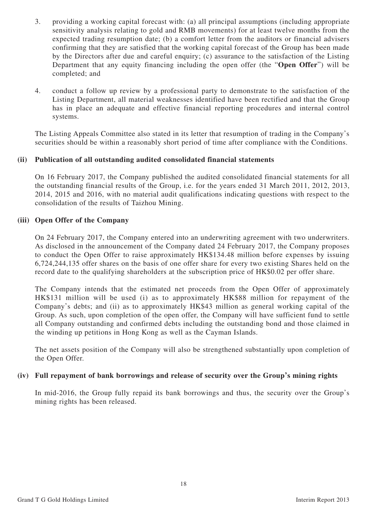- 3. providing a working capital forecast with: (a) all principal assumptions (including appropriate sensitivity analysis relating to gold and RMB movements) for at least twelve months from the expected trading resumption date; (b) a comfort letter from the auditors or financial advisers confirming that they are satisfied that the working capital forecast of the Group has been made by the Directors after due and careful enquiry; (c) assurance to the satisfaction of the Listing Department that any equity financing including the open offer (the "**Open Offer**") will be completed; and
- 4. conduct a follow up review by a professional party to demonstrate to the satisfaction of the Listing Department, all material weaknesses identified have been rectified and that the Group has in place an adequate and effective financial reporting procedures and internal control systems.

The Listing Appeals Committee also stated in its letter that resumption of trading in the Company's securities should be within a reasonably short period of time after compliance with the Conditions.

### **(ii) Publication of all outstanding audited consolidated financial statements**

On 16 February 2017, the Company published the audited consolidated financial statements for all the outstanding financial results of the Group, i.e. for the years ended 31 March 2011, 2012, 2013, 2014, 2015 and 2016, with no material audit qualifications indicating questions with respect to the consolidation of the results of Taizhou Mining.

#### **(iii) Open Offer of the Company**

On 24 February 2017, the Company entered into an underwriting agreement with two underwriters. As disclosed in the announcement of the Company dated 24 February 2017, the Company proposes to conduct the Open Offer to raise approximately HK\$134.48 million before expenses by issuing 6,724,244,135 offer shares on the basis of one offer share for every two existing Shares held on the record date to the qualifying shareholders at the subscription price of HK\$0.02 per offer share.

The Company intends that the estimated net proceeds from the Open Offer of approximately HK\$131 million will be used (i) as to approximately HK\$88 million for repayment of the Company's debts; and (ii) as to approximately HK\$43 million as general working capital of the Group. As such, upon completion of the open offer, the Company will have sufficient fund to settle all Company outstanding and confirmed debts including the outstanding bond and those claimed in the winding up petitions in Hong Kong as well as the Cayman Islands.

The net assets position of the Company will also be strengthened substantially upon completion of the Open Offer.

#### **(iv) Full repayment of bank borrowings and release of security over the Group's mining rights**

In mid-2016, the Group fully repaid its bank borrowings and thus, the security over the Group's mining rights has been released.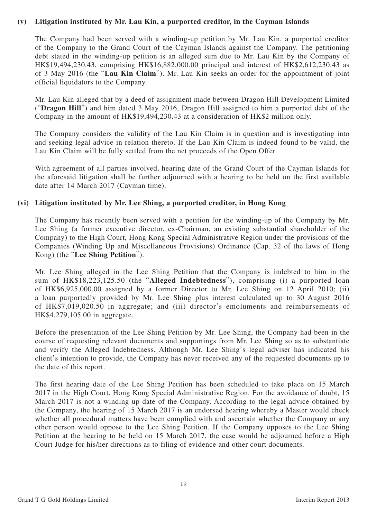#### **(v) Litigation instituted by Mr. Lau Kin, a purported creditor, in the Cayman Islands**

The Company had been served with a winding-up petition by Mr. Lau Kin, a purported creditor of the Company to the Grand Court of the Cayman Islands against the Company. The petitioning debt stated in the winding-up petition is an alleged sum due to Mr. Lau Kin by the Company of HK\$19,494,230.43, comprising HK\$16,882,000.00 principal and interest of HK\$2,612,230.43 as of 3 May 2016 (the "**Lau Kin Claim**"). Mr. Lau Kin seeks an order for the appointment of joint official liquidators to the Company.

Mr. Lau Kin alleged that by a deed of assignment made between Dragon Hill Development Limited ("**Dragon Hill**") and him dated 3 May 2016, Dragon Hill assigned to him a purported debt of the Company in the amount of HK\$19,494,230.43 at a consideration of HK\$2 million only.

The Company considers the validity of the Lau Kin Claim is in question and is investigating into and seeking legal advice in relation thereto. If the Lau Kin Claim is indeed found to be valid, the Lau Kin Claim will be fully settled from the net proceeds of the Open Offer.

With agreement of all parties involved, hearing date of the Grand Court of the Cayman Islands for the aforesaid litigation shall be further adjourned with a hearing to be held on the first available date after 14 March 2017 (Cayman time).

#### **(vi) Litigation instituted by Mr. Lee Shing, a purported creditor, in Hong Kong**

The Company has recently been served with a petition for the winding-up of the Company by Mr. Lee Shing (a former executive director, ex-Chairman, an existing substantial shareholder of the Company) to the High Court, Hong Kong Special Administrative Region under the provisions of the Companies (Winding Up and Miscellaneous Provisions) Ordinance (Cap. 32 of the laws of Hong Kong) (the "**Lee Shing Petition**").

Mr. Lee Shing alleged in the Lee Shing Petition that the Company is indebted to him in the sum of HK\$18,223,125.50 (the "**Alleged Indebtedness**"), comprising (i) a purported loan of HK\$6,925,000.00 assigned by a former Director to Mr. Lee Shing on 12 April 2010; (ii) a loan purportedly provided by Mr. Lee Shing plus interest calculated up to 30 August 2016 of HK\$7,019,020.50 in aggregate; and (iii) director's emoluments and reimbursements of HK\$4,279,105.00 in aggregate.

Before the presentation of the Lee Shing Petition by Mr. Lee Shing, the Company had been in the course of requesting relevant documents and supportings from Mr. Lee Shing so as to substantiate and verify the Alleged Indebtedness. Although Mr. Lee Shing's legal adviser has indicated his client's intention to provide, the Company has never received any of the requested documents up to the date of this report.

The first hearing date of the Lee Shing Petition has been scheduled to take place on 15 March 2017 in the High Court, Hong Kong Special Administrative Region. For the avoidance of doubt, 15 March 2017 is not a winding up date of the Company. According to the legal advice obtained by the Company, the hearing of 15 March 2017 is an endorsed hearing whereby a Master would check whether all procedural matters have been complied with and ascertain whether the Company or any other person would oppose to the Lee Shing Petition. If the Company opposes to the Lee Shing Petition at the hearing to be held on 15 March 2017, the case would be adjourned before a High Court Judge for his/her directions as to filing of evidence and other court documents.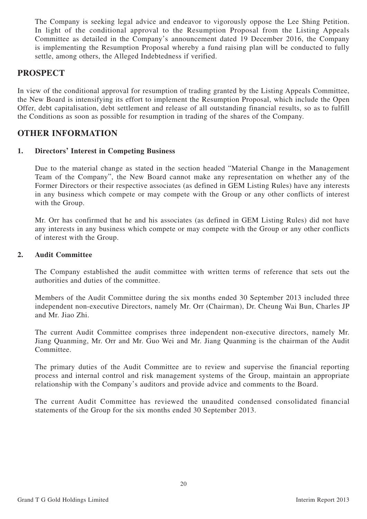The Company is seeking legal advice and endeavor to vigorously oppose the Lee Shing Petition. In light of the conditional approval to the Resumption Proposal from the Listing Appeals Committee as detailed in the Company's announcement dated 19 December 2016, the Company is implementing the Resumption Proposal whereby a fund raising plan will be conducted to fully settle, among others, the Alleged Indebtedness if verified.

## **PROSPECT**

In view of the conditional approval for resumption of trading granted by the Listing Appeals Committee, the New Board is intensifying its effort to implement the Resumption Proposal, which include the Open Offer, debt capitalisation, debt settlement and release of all outstanding financial results, so as to fulfill the Conditions as soon as possible for resumption in trading of the shares of the Company.

## **OTHER INFORMATION**

#### **1. Directors' Interest in Competing Business**

Due to the material change as stated in the section headed "Material Change in the Management Team of the Company", the New Board cannot make any representation on whether any of the Former Directors or their respective associates (as defined in GEM Listing Rules) have any interests in any business which compete or may compete with the Group or any other conflicts of interest with the Group.

Mr. Orr has confirmed that he and his associates (as defined in GEM Listing Rules) did not have any interests in any business which compete or may compete with the Group or any other conflicts of interest with the Group.

#### **2. Audit Committee**

The Company established the audit committee with written terms of reference that sets out the authorities and duties of the committee.

Members of the Audit Committee during the six months ended 30 September 2013 included three independent non-executive Directors, namely Mr. Orr (Chairman), Dr. Cheung Wai Bun, Charles JP and Mr. Jiao Zhi.

The current Audit Committee comprises three independent non-executive directors, namely Mr. Jiang Quanming, Mr. Orr and Mr. Guo Wei and Mr. Jiang Quanming is the chairman of the Audit Committee.

The primary duties of the Audit Committee are to review and supervise the financial reporting process and internal control and risk management systems of the Group, maintain an appropriate relationship with the Company's auditors and provide advice and comments to the Board.

The current Audit Committee has reviewed the unaudited condensed consolidated financial statements of the Group for the six months ended 30 September 2013.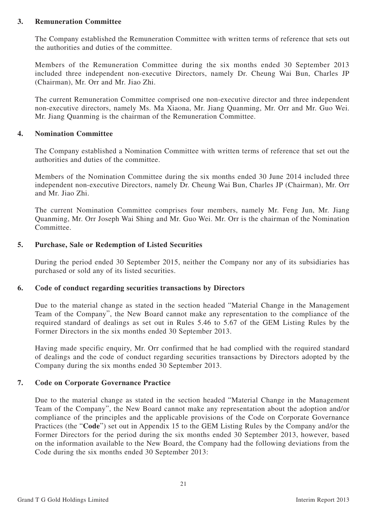#### **3. Remuneration Committee**

The Company established the Remuneration Committee with written terms of reference that sets out the authorities and duties of the committee.

Members of the Remuneration Committee during the six months ended 30 September 2013 included three independent non-executive Directors, namely Dr. Cheung Wai Bun, Charles JP (Chairman), Mr. Orr and Mr. Jiao Zhi.

The current Remuneration Committee comprised one non-executive director and three independent non-executive directors, namely Ms. Ma Xiaona, Mr. Jiang Quanming, Mr. Orr and Mr. Guo Wei. Mr. Jiang Quanming is the chairman of the Remuneration Committee.

#### **4. Nomination Committee**

The Company established a Nomination Committee with written terms of reference that set out the authorities and duties of the committee.

Members of the Nomination Committee during the six months ended 30 June 2014 included three independent non-executive Directors, namely Dr. Cheung Wai Bun, Charles JP (Chairman), Mr. Orr and Mr. Jiao Zhi.

The current Nomination Committee comprises four members, namely Mr. Feng Jun, Mr. Jiang Quanming, Mr. Orr Joseph Wai Shing and Mr. Guo Wei. Mr. Orr is the chairman of the Nomination Committee.

### **5. Purchase, Sale or Redemption of Listed Securities**

During the period ended 30 September 2015, neither the Company nor any of its subsidiaries has purchased or sold any of its listed securities.

#### **6. Code of conduct regarding securities transactions by Directors**

Due to the material change as stated in the section headed "Material Change in the Management Team of the Company", the New Board cannot make any representation to the compliance of the required standard of dealings as set out in Rules 5.46 to 5.67 of the GEM Listing Rules by the Former Directors in the six months ended 30 September 2013.

Having made specific enquiry, Mr. Orr confirmed that he had complied with the required standard of dealings and the code of conduct regarding securities transactions by Directors adopted by the Company during the six months ended 30 September 2013.

### **7. Code on Corporate Governance Practice**

Due to the material change as stated in the section headed "Material Change in the Management Team of the Company", the New Board cannot make any representation about the adoption and/or compliance of the principles and the applicable provisions of the Code on Corporate Governance Practices (the "**Code**") set out in Appendix 15 to the GEM Listing Rules by the Company and/or the Former Directors for the period during the six months ended 30 September 2013, however, based on the information available to the New Board, the Company had the following deviations from the Code during the six months ended 30 September 2013: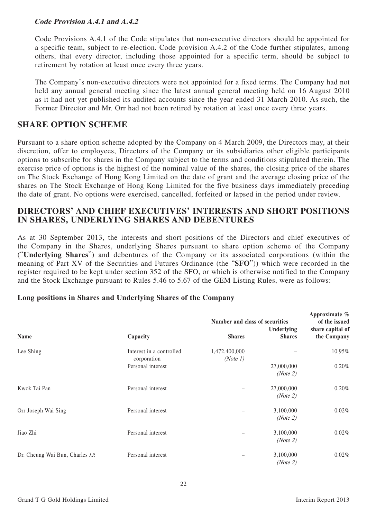### **Code Provision A.4.1 and A.4.2**

Code Provisions A.4.1 of the Code stipulates that non-executive directors should be appointed for a specific team, subject to re-election. Code provision A.4.2 of the Code further stipulates, among others, that every director, including those appointed for a specific term, should be subject to retirement by rotation at least once every three years.

The Company's non-executive directors were not appointed for a fixed terms. The Company had not held any annual general meeting since the latest annual general meeting held on 16 August 2010 as it had not yet published its audited accounts since the year ended 31 March 2010. As such, the Former Director and Mr. Orr had not been retired by rotation at least once every three years.

## **SHARE OPTION SCHEME**

Pursuant to a share option scheme adopted by the Company on 4 March 2009, the Directors may, at their discretion, offer to employees, Directors of the Company or its subsidiaries other eligible participants options to subscribe for shares in the Company subject to the terms and conditions stipulated therein. The exercise price of options is the highest of the nominal value of the shares, the closing price of the shares on The Stock Exchange of Hong Kong Limited on the date of grant and the average closing price of the shares on The Stock Exchange of Hong Kong Limited for the five business days immediately preceding the date of grant. No options were exercised, cancelled, forfeited or lapsed in the period under review.

## **DIRECTORS' AND CHIEF EXECUTIVES' INTERESTS AND SHORT POSITIONS IN SHARES, UNDERLYING SHARES AND DEBENTURES**

As at 30 September 2013, the interests and short positions of the Directors and chief executives of the Company in the Shares, underlying Shares pursuant to share option scheme of the Company ("**Underlying Shares**") and debentures of the Company or its associated corporations (within the meaning of Part XV of the Securities and Futures Ordinance (the "**SFO**")) which were recorded in the register required to be kept under section 352 of the SFO, or which is otherwise notified to the Company and the Stock Exchange pursuant to Rules 5.46 to 5.67 of the GEM Listing Rules, were as follows:

|                                  |                                         | Number and class of securities |                                    | $\Delta$ pproximate $\%$<br>of the issued |
|----------------------------------|-----------------------------------------|--------------------------------|------------------------------------|-------------------------------------------|
| Name                             | Capacity                                | <b>Shares</b>                  | <b>Underlying</b><br><b>Shares</b> | share capital of<br>the Company           |
| Lee Shing                        | Interest in a controlled<br>corporation | 1,472,400,000<br>(Note 1)      |                                    | 10.95%                                    |
|                                  | Personal interest                       |                                | 27,000,000<br>(Note 2)             | 0.20%                                     |
| Kwok Tai Pan                     | Personal interest                       |                                | 27,000,000<br>(Note 2)             | 0.20%                                     |
| Orr Joseph Wai Sing              | Personal interest                       |                                | 3,100,000<br>(Note 2)              | 0.02%                                     |
| Jiao Zhi                         | Personal interest                       |                                | 3,100,000<br>(Note 2)              | 0.02%                                     |
| Dr. Cheung Wai Bun, Charles J.P. | Personal interest                       |                                | 3,100,000<br>(Note 2)              | 0.02%                                     |

### **Long positions in Shares and Underlying Shares of the Company**

**Approximate %**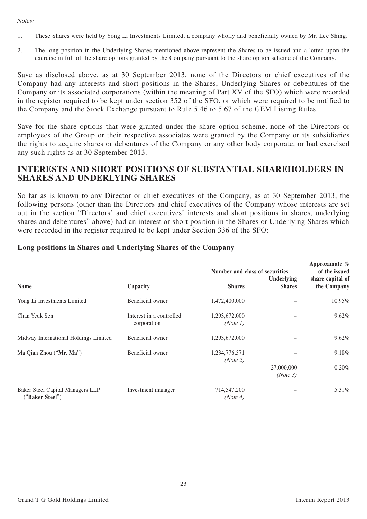#### Notes:

- 1. These Shares were held by Yong Li Investments Limited, a company wholly and beneficially owned by Mr. Lee Shing.
- 2. The long position in the Underlying Shares mentioned above represent the Shares to be issued and allotted upon the exercise in full of the share options granted by the Company pursuant to the share option scheme of the Company.

Save as disclosed above, as at 30 September 2013, none of the Directors or chief executives of the Company had any interests and short positions in the Shares, Underlying Shares or debentures of the Company or its associated corporations (within the meaning of Part XV of the SFO) which were recorded in the register required to be kept under section 352 of the SFO, or which were required to be notified to the Company and the Stock Exchange pursuant to Rule 5.46 to 5.67 of the GEM Listing Rules.

Save for the share options that were granted under the share option scheme, none of the Directors or employees of the Group or their respective associates were granted by the Company or its subsidiaries the rights to acquire shares or debentures of the Company or any other body corporate, or had exercised any such rights as at 30 September 2013.

## **INTERESTS AND SHORT POSITIONS OF SUBSTANTIAL SHAREHOLDERS IN SHARES AND UNDERLYING SHARES**

So far as is known to any Director or chief executives of the Company, as at 30 September 2013, the following persons (other than the Directors and chief executives of the Company whose interests are set out in the section "Directors' and chief executives' interests and short positions in shares, underlying shares and debentures" above) had an interest or short position in the Shares or Underlying Shares which were recorded in the register required to be kept under Section 336 of the SFO:

### **Long positions in Shares and Underlying Shares of the Company**

|                                                     |                                         | Number and class of securities<br>Underlying |               | Approximate %<br>of the issued<br>share capital of |  |
|-----------------------------------------------------|-----------------------------------------|----------------------------------------------|---------------|----------------------------------------------------|--|
| <b>Name</b>                                         | Capacity                                | <b>Shares</b>                                | <b>Shares</b> | the Company                                        |  |
| Yong Li Investments Limited                         | Beneficial owner                        | 1,472,400,000                                |               | 10.95%                                             |  |
| Chan Yeuk Sen                                       | Interest in a controlled<br>corporation | 1,293,672,000<br>(Note 1)                    |               | 9.62%                                              |  |
| Midway International Holdings Limited               | Beneficial owner                        | 1,293,672,000                                |               | 9.62%                                              |  |
| Ma Qian Zhou ("Mr. Ma")                             | Beneficial owner                        | 1,234,776,571<br>(Note 2)                    | 27,000,000    | 9.18%<br>0.20%                                     |  |
|                                                     |                                         |                                              | (Note 3)      |                                                    |  |
| Baker Steel Capital Managers LLP<br>("Baker Steel") | Investment manager                      | 714,547,200<br>(Note 4)                      |               | 5.31%                                              |  |